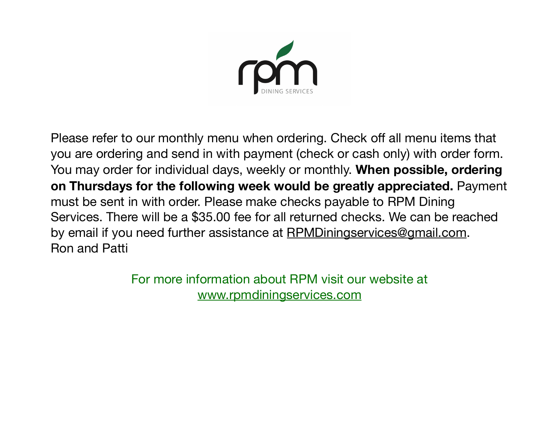

Please refer to our monthly menu when ordering. Check off all menu items that you are ordering and send in with payment (check or cash only) with order form. You may order for individual days, weekly or monthly. **When possible, ordering on Thursdays for the following week would be greatly appreciated.** Payment must be sent in with order. Please make checks payable to RPM Dining Services. There will be a \$35.00 fee for all returned checks. We can be reached by email if you need further assistance at [RPMDiningservices@gmail.com](mailto:RPMDining@gmail.com). Ron and Patti

> For more information about RPM visit our website at [www.rpmdiningservices.com](http://www.rpmdininservices.com)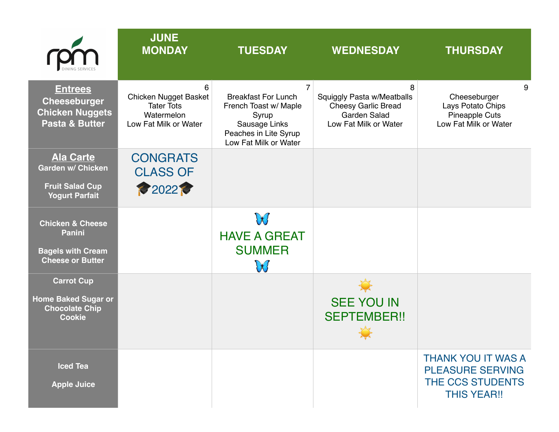|                                                                                                     | <b>JUNE</b><br><b>MONDAY</b>                                                           | <b>TUESDAY</b>                                                                                                                                    | <b>WEDNESDAY</b>                                                                                       | <b>THURSDAY</b>                                                                                |
|-----------------------------------------------------------------------------------------------------|----------------------------------------------------------------------------------------|---------------------------------------------------------------------------------------------------------------------------------------------------|--------------------------------------------------------------------------------------------------------|------------------------------------------------------------------------------------------------|
| <b>Entrees</b><br><b>Cheeseburger</b><br><b>Chicken Nuggets</b><br><b>Pasta &amp; Butter</b>        | 6<br>Chicken Nugget Basket<br><b>Tater Tots</b><br>Watermelon<br>Low Fat Milk or Water | $\overline{7}$<br><b>Breakfast For Lunch</b><br>French Toast w/ Maple<br>Syrup<br>Sausage Links<br>Peaches in Lite Syrup<br>Low Fat Milk or Water | 8<br>Squiggly Pasta w/Meatballs<br><b>Cheesy Garlic Bread</b><br>Garden Salad<br>Low Fat Milk or Water | 9<br>Cheeseburger<br>Lays Potato Chips<br><b>Pineapple Cuts</b><br>Low Fat Milk or Water       |
| <b>Ala Carte</b><br><b>Garden w/ Chicken</b><br><b>Fruit Salad Cup</b><br><b>Yogurt Parfait</b>     | <b>CONGRATS</b><br><b>CLASS OF</b><br><b>2022</b>                                      |                                                                                                                                                   |                                                                                                        |                                                                                                |
| <b>Chicken &amp; Cheese</b><br><b>Panini</b><br><b>Bagels with Cream</b><br><b>Cheese or Butter</b> |                                                                                        | W<br><b>HAVE A GREAT</b><br><b>SUMMER</b><br>W                                                                                                    |                                                                                                        |                                                                                                |
| <b>Carrot Cup</b><br><b>Home Baked Sugar or</b><br><b>Chocolate Chip</b><br><b>Cookie</b>           |                                                                                        |                                                                                                                                                   | <b>SEE YOU IN</b><br><b>SEPTEMBER!!</b>                                                                |                                                                                                |
| <b>Iced Tea</b><br><b>Apple Juice</b>                                                               |                                                                                        |                                                                                                                                                   |                                                                                                        | <b>THANK YOU IT WAS A</b><br><b>PLEASURE SERVING</b><br>THE CCS STUDENTS<br><b>THIS YEAR!!</b> |